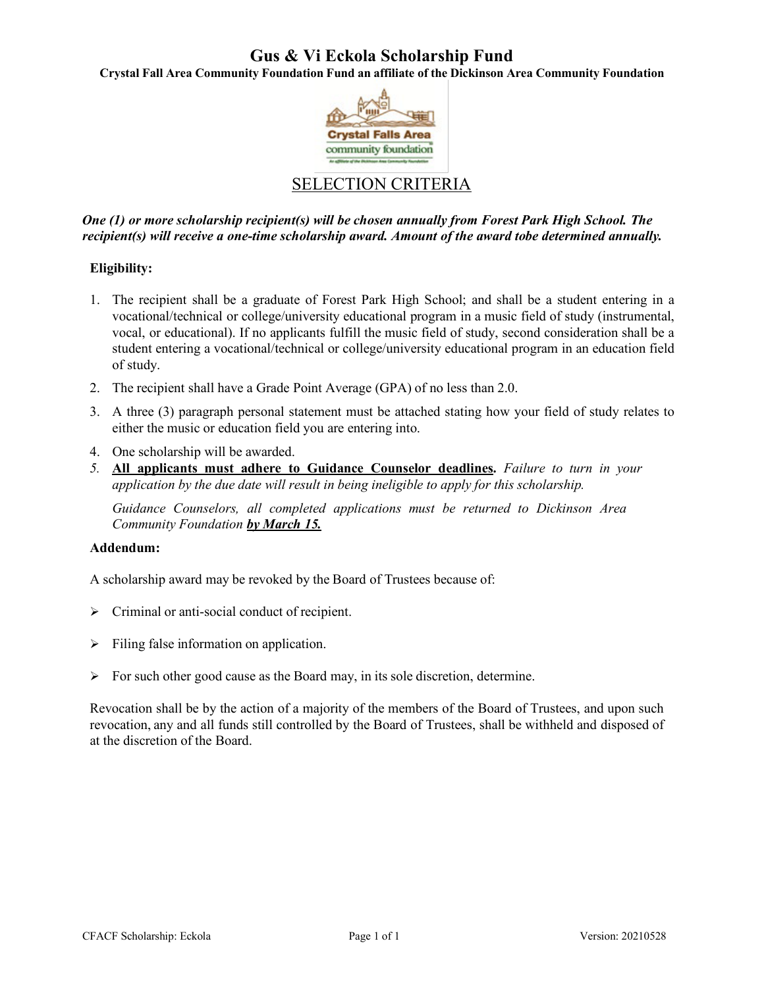## **Gus & Vi Eckola Scholarship Fund**

**Crystal Fall Area Community Foundation Fund an affiliate of the Dickinson Area Community Foundation**



### SELECTION CRITERIA

*One (1) or more scholarship recipient(s) will be chosen annually from Forest Park High School. The recipient(s) will receive a one-time scholarship award. Amount of the award tobe determined annually.*

#### **Eligibility:**

- 1. The recipient shall be a graduate of Forest Park High School; and shall be a student entering in a vocational/technical or college/university educational program in a music field of study (instrumental, vocal, or educational). If no applicants fulfill the music field of study, second consideration shall be a student entering a vocational/technical or college/university educational program in an education field of study.
- 2. The recipient shall have a Grade Point Average (GPA) of no less than 2.0.
- 3. A three (3) paragraph personal statement must be attached stating how your field of study relates to either the music or education field you are entering into.
- 4. One scholarship will be awarded.
- *5.* **All applicants must adhere to Guidance Counselor deadlines.** *Failure to turn in your application by the due date will result in being ineligible to apply for this scholarship.*

*Guidance Counselors, all completed applications must be returned to Dickinson Area Community Foundation by March 15.*

#### **Addendum:**

A scholarship award may be revoked by the Board of Trustees because of:

- $\triangleright$  Criminal or anti-social conduct of recipient.
- $\triangleright$  Filing false information on application.
- $\triangleright$  For such other good cause as the Board may, in its sole discretion, determine.

Revocation shall be by the action of a majority of the members of the Board of Trustees, and upon such revocation, any and all funds still controlled by the Board of Trustees, shall be withheld and disposed of at the discretion of the Board.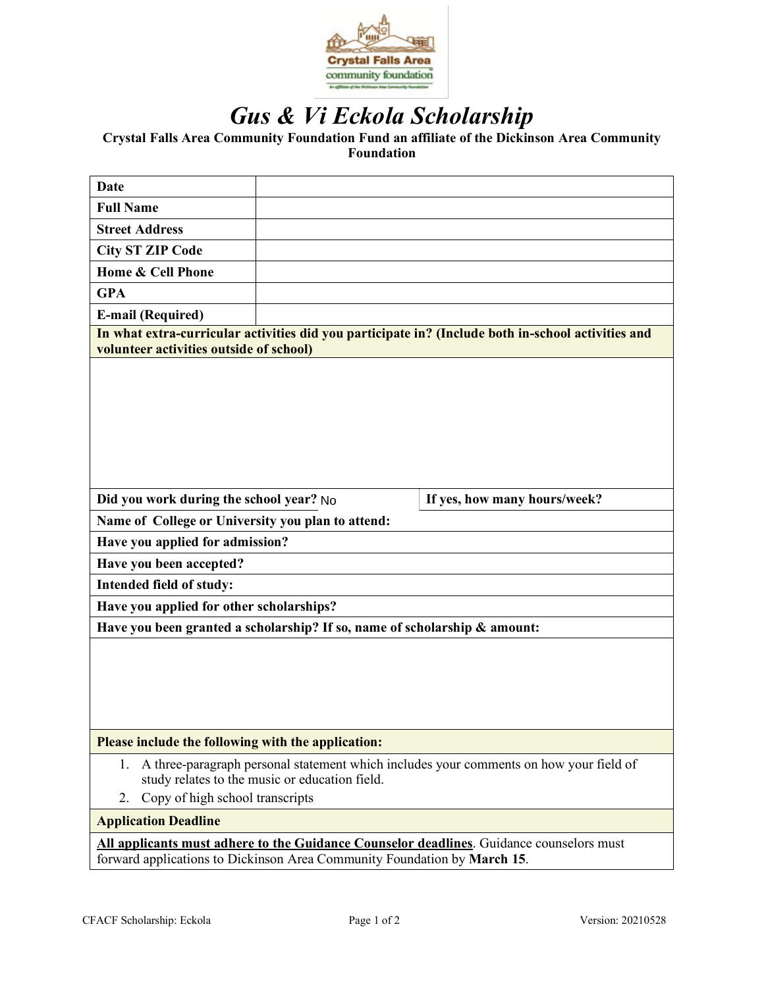

# *Gus & Vi Eckola Scholarship*

**Crystal Falls Area Community Foundation Fund an affiliate of the Dickinson Area Community Foundation**

| Date                                                                                                                                          |                                                                                                                                                                      |  |  |  |  |
|-----------------------------------------------------------------------------------------------------------------------------------------------|----------------------------------------------------------------------------------------------------------------------------------------------------------------------|--|--|--|--|
| <b>Full Name</b>                                                                                                                              |                                                                                                                                                                      |  |  |  |  |
| <b>Street Address</b>                                                                                                                         |                                                                                                                                                                      |  |  |  |  |
| <b>City ST ZIP Code</b>                                                                                                                       |                                                                                                                                                                      |  |  |  |  |
| Home & Cell Phone                                                                                                                             |                                                                                                                                                                      |  |  |  |  |
| <b>GPA</b>                                                                                                                                    |                                                                                                                                                                      |  |  |  |  |
| <b>E-mail (Required)</b>                                                                                                                      |                                                                                                                                                                      |  |  |  |  |
| In what extra-curricular activities did you participate in? (Include both in-school activities and<br>volunteer activities outside of school) |                                                                                                                                                                      |  |  |  |  |
|                                                                                                                                               |                                                                                                                                                                      |  |  |  |  |
| Did you work during the school year? No<br>If yes, how many hours/week?                                                                       |                                                                                                                                                                      |  |  |  |  |
| Name of College or University you plan to attend:                                                                                             |                                                                                                                                                                      |  |  |  |  |
| Have you applied for admission?                                                                                                               |                                                                                                                                                                      |  |  |  |  |
| Have you been accepted?                                                                                                                       |                                                                                                                                                                      |  |  |  |  |
| Intended field of study:                                                                                                                      |                                                                                                                                                                      |  |  |  |  |
| Have you applied for other scholarships?                                                                                                      |                                                                                                                                                                      |  |  |  |  |
| Have you been granted a scholarship? If so, name of scholarship & amount:                                                                     |                                                                                                                                                                      |  |  |  |  |
|                                                                                                                                               |                                                                                                                                                                      |  |  |  |  |
| Please include the following with the application:                                                                                            |                                                                                                                                                                      |  |  |  |  |
| 1.<br>Copy of high school transcripts<br>2.                                                                                                   | A three-paragraph personal statement which includes your comments on how your field of<br>study relates to the music or education field.                             |  |  |  |  |
| <b>Application Deadline</b>                                                                                                                   |                                                                                                                                                                      |  |  |  |  |
|                                                                                                                                               | All applicants must adhere to the Guidance Counselor deadlines. Guidance counselors must<br>forward applications to Dickinson Area Community Foundation by March 15. |  |  |  |  |